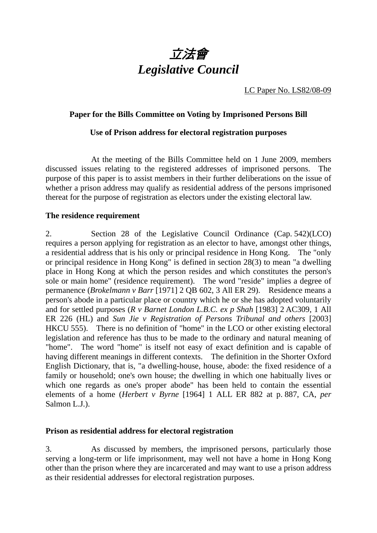

LC Paper No. LS82/08-09

## **Paper for the Bills Committee on Voting by Imprisoned Persons Bill**

#### **Use of Prison address for electoral registration purposes**

 At the meeting of the Bills Committee held on 1 June 2009, members discussed issues relating to the registered addresses of imprisoned persons. The purpose of this paper is to assist members in their further deliberations on the issue of whether a prison address may qualify as residential address of the persons imprisoned thereat for the purpose of registration as electors under the existing electoral law.

### **The residence requirement**

2. Section 28 of the Legislative Council Ordinance (Cap. 542)(LCO) requires a person applying for registration as an elector to have, amongst other things, a residential address that is his only or principal residence in Hong Kong. The "only or principal residence in Hong Kong" is defined in section 28(3) to mean "a dwelling place in Hong Kong at which the person resides and which constitutes the person's sole or main home" (residence requirement). The word "reside" implies a degree of permanence (*Brokelmann v Barr* [1971] 2 QB 602, 3 All ER 29). Residence means a person's abode in a particular place or country which he or she has adopted voluntarily and for settled purposes (*R v Barnet London L.B.C. ex p Shah* [1983] 2 AC309, 1 All ER 226 (HL) and *Sun Jie v Registration of Persons Tribunal and others* [2003] HKCU 555). There is no definition of "home" in the LCO or other existing electoral legislation and reference has thus to be made to the ordinary and natural meaning of "home". The word "home" is itself not easy of exact definition and is capable of having different meanings in different contexts. The definition in the Shorter Oxford English Dictionary, that is, "a dwelling-house, house, abode: the fixed residence of a family or household; one's own house; the dwelling in which one habitually lives or which one regards as one's proper abode" has been held to contain the essential elements of a home (*Herbert v Byrne* [1964] 1 ALL ER 882 at p. 887, CA, *per* Salmon L.J.).

#### **Prison as residential address for electoral registration**

3. As discussed by members, the imprisoned persons, particularly those serving a long-term or life imprisonment, may well not have a home in Hong Kong other than the prison where they are incarcerated and may want to use a prison address as their residential addresses for electoral registration purposes.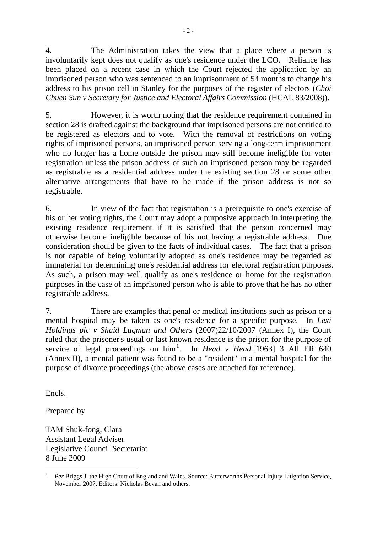4. The Administration takes the view that a place where a person is involuntarily kept does not qualify as one's residence under the LCO. Reliance has been placed on a recent case in which the Court rejected the application by an imprisoned person who was sentenced to an imprisonment of 54 months to change his address to his prison cell in Stanley for the purposes of the register of electors (*Choi Chuen Sun v Secretary for Justice and Electoral Affairs Commission* (HCAL 83/2008)).

5. However, it is worth noting that the residence requirement contained in section 28 is drafted against the background that imprisoned persons are not entitled to be registered as electors and to vote. With the removal of restrictions on voting rights of imprisoned persons, an imprisoned person serving a long-term imprisonment who no longer has a home outside the prison may still become ineligible for voter registration unless the prison address of such an imprisoned person may be regarded as registrable as a residential address under the existing section 28 or some other alternative arrangements that have to be made if the prison address is not so registrable.

6. In view of the fact that registration is a prerequisite to one's exercise of his or her voting rights, the Court may adopt a purposive approach in interpreting the existing residence requirement if it is satisfied that the person concerned may otherwise become ineligible because of his not having a registrable address. Due consideration should be given to the facts of individual cases. The fact that a prison is not capable of being voluntarily adopted as one's residence may be regarded as immaterial for determining one's residential address for electoral registration purposes. As such, a prison may well qualify as one's residence or home for the registration purposes in the case of an imprisoned person who is able to prove that he has no other registrable address.

7. There are examples that penal or medical institutions such as prison or a mental hospital may be taken as one's residence for a specific purpose. In *Lexi Holdings plc v Shaid Luqman and Others* (2007)22/10/2007 (Annex I)*,* the Court ruled that the prisoner's usual or last known residence is the prison for the purpose of service of legal proceedings on him<sup>1</sup>. In *Head v Head* [1963] 3 All ER 640 (Annex II), a mental patient was found to be a "resident" in a mental hospital for the purpose of divorce proceedings (the above cases are attached for reference).

Encls.

Prepared by

TAM Shuk-fong, Clara Assistant Legal Adviser Legislative Council Secretariat 8 June 2009

 $\overline{a}$ <sup>1</sup> *Per* Briggs J, the High Court of England and Wales. Source: Butterworths Personal Injury Litigation Service, November 2007, Editors: Nicholas Bevan and others.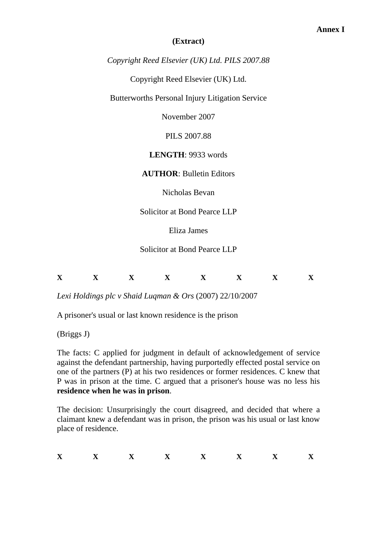# **(Extract)**

*Copyright Reed Elsevier (UK) Ltd. PILS 2007.88* 

Copyright Reed Elsevier (UK) Ltd.

Butterworths Personal Injury Litigation Service

November 2007

PILS 2007.88

**LENGTH**: 9933 words

**AUTHOR**: Bulletin Editors

Nicholas Bevan

Solicitor at Bond Pearce LLP

Eliza James

Solicitor at Bond Pearce LLP

| $-$       | -- | -- |    |    | -- |    |
|-----------|----|----|----|----|----|----|
| $\Lambda$ | -- |    | -- | -- |    | -- |

*Lexi Holdings plc v Shaid Luqman & Ors* (2007) 22/10/2007

A prisoner's usual or last known residence is the prison

(Briggs J)

The facts: C applied for judgment in default of acknowledgement of service against the defendant partnership, having purportedly effected postal service on one of the partners (P) at his two residences or former residences. C knew that P was in prison at the time. C argued that a prisoner's house was no less his **residence when he was in prison**.

The decision: Unsurprisingly the court disagreed, and decided that where a claimant knew a defendant was in prison, the prison was his usual or last know place of residence.

| $-1$<br> | -- | --- |  | -- | __<br>-- | -- |
|----------|----|-----|--|----|----------|----|
|          |    |     |  |    |          |    |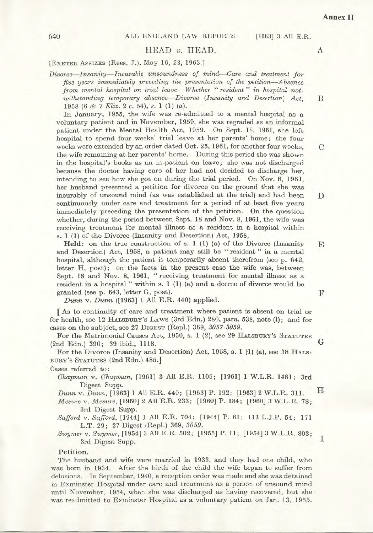#### $HEAD$  v.  $HEAD$ .

[EXETER ASSIZES (Rees, J.), May 16, 23, 1963.]

Divorce-Insanity-Incurable unsoundness of mind-Care and treatment for five years immediately preceding the presentation of the petition—Absence from mental hospital on trial leave—Whether "resident" in hospital notwithstanding temporary absence—Divorce (Insanity and Desertion) Act. 1958 (6 & 7 Eliz. 2 c. 54), s. 1 (1) (a).

In January, 1955, the wife was re-admitted to a mental hospital as a voluntary patient and in November, 1959, she was regraded as an informal patient under the Mental Health Act, 1959. On Sept. 18, 1961, she left hospital to spend four weeks' trial leave at her parents' home; the four weeks were extended by an order dated Oct. 25, 1961, for another four weeks, the wife remaining at her parents' home. During this period she was shown in the hospital's books as an in-patient on leave; she was not discharged because the doctor having care of her had not decided to discharge her, intending to see how she got on during the trial period. On Nov. 8, 1961, her husband presented a petition for divorce on the ground that she was incurably of unsound mind (as was established at the trial) and had been continuously under care and treatment for a period of at least five years immediately preceding the presentation of the petition. On the question whether, during the period between Sept. 18 and Nov. 8, 1961, the wife was receiving treatment for mental illness as a resident in a hospital within s. 1 (1) of the Divorce (Insanity and Desertion) Act, 1958,

Held: on the true construction of s. 1 (1) (a) of the Divorce (Insanity and Desertion) Act, 1958, a patient may still be "resident" in a mental hospital, although the patient is temporarily absent therefrom (see p. 642, letter H, post); on the facts in the present case the wife was, between Sept. 18 and Nov. 8, 1961, "receiving treatment for mental illness as a resident in a hospital " within s. 1 (1) (a) and a decree of divorce would be granted (see p. 643, letter G, post).

Dunn v. Dunn ([1963] 1 All E.R. 440) applied.

[As to continuity of care and treatment where patient is absent on trial or for health, see 12 HALSBURY's LAWS (3rd Edn.) 280, para. 538, note (1); and for cases on the subject, see 27 DIGEST (Repl.) 369, 3057-3059.

For the Matrimonial Causes Act, 1950, s. 1 (2), see 29 HALSBURY's STATUTES (2nd Edn.) 390; 39 ibid., 1118.

For the Divorce (Insanity and Desertion) Act, 1958, s. 1 (1) (a), see 38 HALS-BURY'S STATUTES (2nd Edn.) 485.

Cases referred to:

Chapman v. Chapman, [1961] 3 All E.R. 1105; [1961] 1 W.L.R. 1481; 3rd Digest Supp.

Dunn v. Dunn, [1963] 1 All E.R. 440; [1963] P. 192; [1963] 2 W.L.R. 311.

Mesure v. Mesure, [1960] 2 All E.R. 233; [1960] P. 184; [1960] 3 W.L.R. 78; 3rd Digest Supp.

Safford v. Safford, [1944] 1 All E.R. 704; [1944] P. 61; 113 L.J.P. 54; 171 L.T. 29; 27 Digest (Repl.) 369, 3059.

Swymer v. Swymer, [1954] 3 All E.R. 502; [1955] P. 11; [1954] 3 W.L.R. 803; 3rd Digest Supp.

#### Petition.

The husband and wife were married in 1933, and they had one child, who was born in 1934. After the birth of the child the wife began to suffer from delusions. In September, 1940, a reception order was made and she was detained in Exminster Hospital under care and treatment as a person of unsound mind until November, 1954, when she was discharged as having recovered, but she was readmitted to Exminster Hospital as a voluntary patient on Jan. 13, 1955.

640

 $\boldsymbol{A}$ 

[1963] 3 All E.R.

B

D

E

 $\mathcal{C}$ 

I

G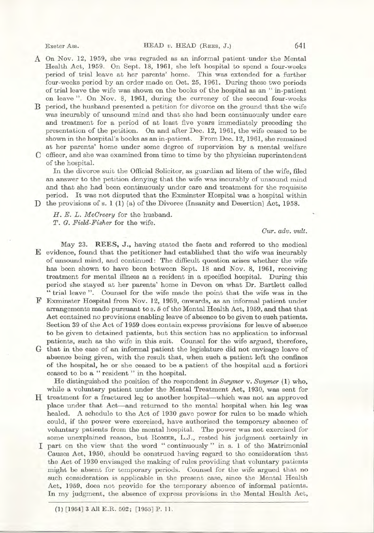Exeter Ass.

- A On Nov. 12, 1959, she was regraded as an informal patient under the Mental Health Act, 1959. On Sept. 18, 1961, she left hospital to spend a four-weeks period of trial leave at her parents' home. This was extended for a further four-weeks period by an order made on Oct. 25, 1961. During these two periods of trial leave the wife was shown on the books of the hospital as an "in-patient on leave". On Nov. 8, 1961, during the currency of the second four-weeks
- B period, the husband presented a petition for divorce on the ground that the wife was incurably of unsound mind and that she had been continuously under care and treatment for a period of at least five years immediately preceding the presentation of the petition. On and after Dec. 12, 1961, the wife ceased to be shown in the hospital's books as an in-patient. From Dec. 12, 1961, she remained at her parents' home under some degree of supervision by a mental welfare
- C officer, and she was examined from time to time by the physician superintendent of the hospital.

In the divorce suit the Official Solicitor, as guardian ad litem of the wife, filed an answer to the petition denying that the wife was incurably of unsound mind and that she had been continuously under care and treatment for the requisite period. It was not disputed that the Exminster Hospital was a hospital within D the provisions of s. 1 (1) (a) of the Divorce (Insanity and Desertion) Act, 1958.

H. E. L. McCreery for the husband. T. G. Field-Fisher for the wife.

Cur. adv. vult.

May 23. REES, J., having stated the facts and referred to the medical E evidence, found that the petitioner had established that the wife was incurably of unsound mind, and continued: The difficult question arises whether the wife has been shown to have been between Sept. 18 and Nov. 8, 1961, receiving treatment for mental illness as a resident in a specified hospital. During this period she stayed at her parents' home in Devon on what Dr. Bartlett called "trial leave". Counsel for the wife made the point that the wife was in the

- F Exminster Hospital from Nov. 12, 1959, onwards, as an informal patient under arrangements made pursuant to s. 5 of the Mental Health Act, 1959, and that that Act contained no provisions enabling leave of absence to be given to such patients. Section 39 of the Act of 1959 does contain express provisions for leave of absence to be given to detained patients, but this section has no application to informal patients, such as the wife in this suit. Counsel for the wife argued, therefore,
- G that in the case of an informal patient the legislature did not envisage leave of absence being given, with the result that, when such a patient left the confines of the hospital, he or she ceased to be a patient of the hospital and a fortiori ceased to be a "resident" in the hospital.

He distinguished the position of the respondent in Swymer v. Swymer  $(1)$  who, while a voluntary patient under the Mental Treatment Act, 1930, was sent for

- H treatment for a fractured leg to another hospital—which was not an approved place under that Act—and returned to the mental hospital when his leg was healed. A schedule to the Act of 1930 gave power for rules to be made which could, if the power were exercised, have authorised the temporary absence of voluntary patients from the mental hospital. The power was not exercised for some unexplained reason, but ROMER, L.J., rested his judgment certainly in I part on the view that the word "continuously" in s. 1 of the Matrimonial
- Causes Act, 1950, should be construed having regard to the consideration that the Act of 1930 envisaged the making of rules providing that voluntary patients might be absent for temporary periods. Counsel for the wife argued that no such consideration is applicable in the present case, since the Mental Health Act, 1959, does not provide for the temporary absence of informal patients. In my judgment, the absence of express provisions in the Mental Health Act,

641

(1) [1954] 3 All E.R. 502; [1955] P. 11.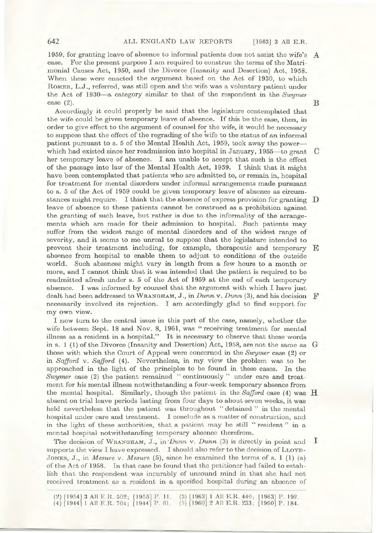1959, for granting leave of absence to informal patients does not assist the wife's A case. For the present purpose I am required to construe the terms of the Matrimonial Causes Act, 1950, and the Divorce (Insanity and Desertion) Act, 1958. When these were enacted the argument based on the Act of 1930, to which ROMER, L.J., referred, was still open and the wife was a voluntary patient under the Act of 1930—a category similar to that of the respondent in the Swymer case  $(2)$ .

Accordingly it could properly be said that the legislature contemplated that the wife could be given temporary leave of absence. If this be the case, then, in order to give effect to the argument of counsel for the wife, it would be necessary to suppose that the effect of the regrading of the wife to the status of an informal patient pursuant to s. 5 of the Mental Health Act, 1959, took away the power which had existed since her readmission into hospital in January,  $1955$ —to grant  $\,$  C her temporary leave of absence. I am unable to accept that such is the effect of the passage into law of the Mental Health Act, 1959. I think that it might have been contemplated that patients who are admitted to, or remain in, hospital for treatment for mental disorders under informal arrangements made pursuant to s. 5 of the Act of 1959 could be given temporary leave of absence as circumstances might require. I think that the absence of express provision for granting  $\mathbb D$ leave of absence to these patients cannot be construed as a prohibition against the granting of such leave, but rather is due to the informality of the arrangements which are made for their admission to hospital. Such patients may suffer from the widest range of mental disorders and of the widest range of severity, and it seems to me unreal to suppose that the legislature intended to prevent their treatment including, for example, therapeutic and temporary E absence from hospital to enable them to adjust to conditions of the outside world. Such absences might vary in length from a few hours to a month or more, and I cannot think that it was intended that the patient is required to be readmitted afresh under s. 5 of the Act of 1959 at the end of each temporary absence. I was informed by counsel that the argument with which I have just dealt had been addressed to WRANGHAM, J., in Dunn v. Dunn (3), and his decision  $\mathbf F$ necessarily involved its rejection. I am accordingly glad to find support for my own view.

I now turn to the central issue in this part of the case, namely, whether the wife between Sept. 18 and Nov. 8, 1961, was "receiving treatment for mental illness as a resident in a hospital." It is necessary to observe that these words in s. 1 (1) of the Divorce (Insanity and Desertion) Act, 1958, are not the same as  $G$ those with which the Court of Appeal were concerned in the Swymer case (2) or in Safford v. Safford (4). Nevertheless, in my view the problem was to be approached in the light of the principles to be found in these cases. In the Swymer case (2) the patient remained "continuously" under care and treatment for his mental illness notwithstanding a four-week temporary absence from the mental hospital. Similarly, though the patient in the Safford case  $(4)$  was H absent on trial leave periods lasting from four days to about seven weeks, it was held nevertheless that the patient was throughout "detained" in the mental hospital under care and treatment. I conclude as a matter of construction, and in the light of these authorities, that a patient may be still "resident" in a mental hospital notwithstanding temporary absence therefrom.

The decision of WRANGHAM, J., in Dunn v. Dunn (3) is directly in point and  $\mathbf{I}$ supports the view I have expressed. I should also refer to the decision of LLOYD-JONES, J., in *Mesure* v. *Mesure* (5), since he examined the terms of s. 1 (1) (a) of the Act of 1958. In that case he found that the petitioner had failed to establish that the respondent was incurably of unsound mind in that she had not received treatment as a resident in a specified hospital during an absence of

642

B

 $(2)$  [1954] 3 All E.R. 502; [1955] P. 11. (3) [1963] 1 All E.R. 440; [1963] P. 192. (4) [1944] 1 All E.R. 704; [1944] P. 61. (5) [1960] 2 All E.R. 233; [1960] P. 184.